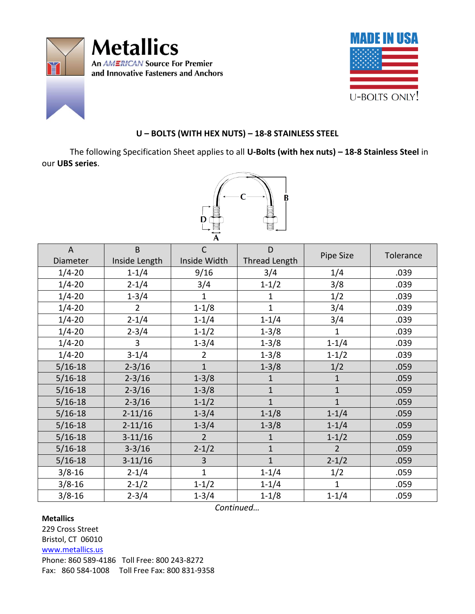



## **U – BOLTS (WITH HEX NUTS) – 18-8 STAINLESS STEEL**

The following Specification Sheet applies to all **U-Bolts (with hex nuts) – 18-8 Stainless Steel** in our **UBS series**.



| $\overline{A}$ | $\mathsf B$    | $\mathsf{C}$   | D              |                |           |
|----------------|----------------|----------------|----------------|----------------|-----------|
| Diameter       | Inside Length  | Inside Width   | Thread Length  | Pipe Size      | Tolerance |
| $1/4 - 20$     | $1 - 1/4$      | 9/16           | 3/4            | 1/4            | .039      |
| $1/4 - 20$     | $2 - 1/4$      | 3/4            | $1 - 1/2$      | 3/8            | .039      |
| $1/4 - 20$     | $1 - 3/4$      | 1              | 1              | 1/2            | .039      |
| $1/4 - 20$     | $\overline{2}$ | $1 - 1/8$      | $\overline{1}$ | 3/4            | .039      |
| $1/4 - 20$     | $2 - 1/4$      | $1 - 1/4$      | $1 - 1/4$      | 3/4            | .039      |
| $1/4 - 20$     | $2 - 3/4$      | $1 - 1/2$      | $1 - 3/8$      | $\mathbf{1}$   | .039      |
| $1/4 - 20$     | $\overline{3}$ | $1 - 3/4$      | $1 - 3/8$      | $1 - 1/4$      | .039      |
| $1/4 - 20$     | $3 - 1/4$      | $\overline{2}$ | $1 - 3/8$      | $1 - 1/2$      | .039      |
| $5/16 - 18$    | $2 - 3/16$     | $\mathbf{1}$   | $1 - 3/8$      | 1/2            | .059      |
| $5/16 - 18$    | $2 - 3/16$     | $1 - 3/8$      | $\mathbf{1}$   | $\mathbf{1}$   | .059      |
| $5/16 - 18$    | $2 - 3/16$     | $1 - 3/8$      | $\mathbf{1}$   | $\mathbf{1}$   | .059      |
| $5/16 - 18$    | $2 - 3/16$     | $1 - 1/2$      | $\overline{1}$ | $\mathbf{1}$   | .059      |
| $5/16 - 18$    | $2 - 11/16$    | $1 - 3/4$      | $1 - 1/8$      | $1 - 1/4$      | .059      |
| $5/16 - 18$    | $2 - 11/16$    | $1 - 3/4$      | $1 - 3/8$      | $1 - 1/4$      | .059      |
| $5/16 - 18$    | $3 - 11/16$    | $\overline{2}$ | 1              | $1 - 1/2$      | .059      |
| $5/16 - 18$    | $3 - 3/16$     | $2 - 1/2$      | $\mathbf{1}$   | $\overline{2}$ | .059      |
| $5/16 - 18$    | $3 - 11/16$    | 3              | $\mathbf 1$    | $2 - 1/2$      | .059      |
| $3/8 - 16$     | $2 - 1/4$      | $\mathbf{1}$   | $1 - 1/4$      | 1/2            | .059      |
| $3/8 - 16$     | $2 - 1/2$      | $1 - 1/2$      | $1 - 1/4$      | $\mathbf{1}$   | .059      |
| $3/8 - 16$     | $2 - 3/4$      | $1 - 3/4$      | $1 - 1/8$      | $1 - 1/4$      | .059      |

*Continued…*

## **Metallics**

229 Cross Street Bristol, CT 06010 [www.metallics.us](http://www.metallics.us/) Phone: 860 589-4186 Toll Free: 800 243-8272 Fax: 860 584-1008 Toll Free Fax: 800 831-9358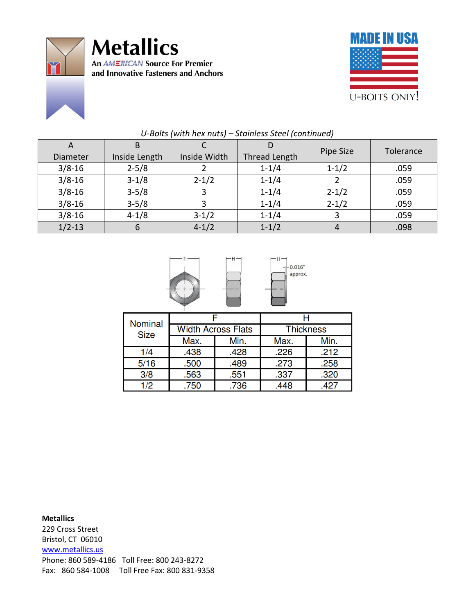



| $\mathsf{A}$<br>Diameter | B<br>Inside Length | Inside Width | Thread Length | Pipe Size | Tolerance |
|--------------------------|--------------------|--------------|---------------|-----------|-----------|
| $3/8 - 16$               | $2 - 5/8$          |              | $1 - 1/4$     | $1 - 1/2$ | .059      |
| $3/8 - 16$               | $3 - 1/8$          | $2 - 1/2$    | $1 - 1/4$     |           | .059      |
| $3/8 - 16$               | $3 - 5/8$          |              | $1 - 1/4$     | $2 - 1/2$ | .059      |
| $3/8 - 16$               | $3 - 5/8$          |              | $1 - 1/4$     | $2 - 1/2$ | .059      |
| $3/8 - 16$               | $4 - 1/8$          | $3 - 1/2$    | $1 - 1/4$     |           | .059      |
| $1/2 - 13$               | 6                  | $4 - 1/2$    | $1 - 1/2$     |           | .098      |

## *U-Bolts (with hex nuts) – Stainless Steel (continued)*



| Nominal<br><b>Size</b> |      |                           |                  |      |  |
|------------------------|------|---------------------------|------------------|------|--|
|                        |      | <b>Width Across Flats</b> | <b>Thickness</b> |      |  |
|                        | Max. | Min.                      | Max.             | Min. |  |
| 1/4                    | .438 | .428                      | .226             | .212 |  |
| 5/16                   | .500 | .489                      | .273             | .258 |  |
| 3/8                    | .563 | .551                      | .337             | .320 |  |
| 1/2                    | .750 | .736                      | .448             | .427 |  |

**Metallics** 229 Cross Street Bristol, CT 06010 [www.metallics.us](http://www.metallics.us/) Phone: 860 589-4186 Toll Free: 800 243-8272 Fax: 860 584-1008 Toll Free Fax: 800 831-9358